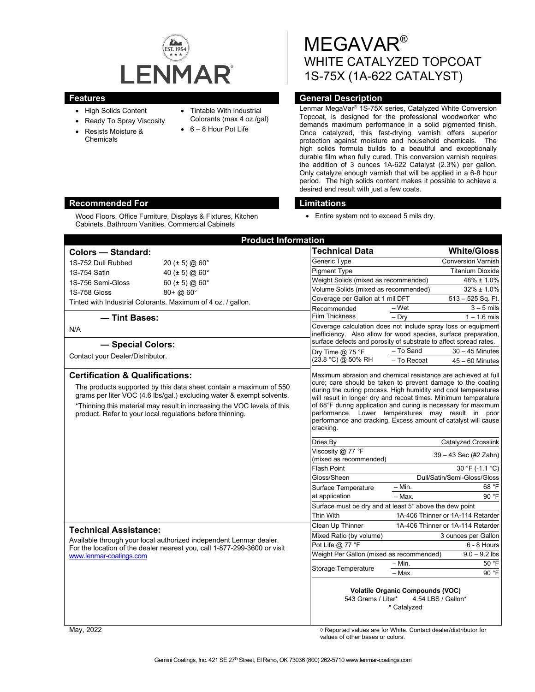

Wood Floors, Office Furniture, Displays & Fixtures, Kitchen Cabinets, Bathroom Vanities, Commercial Cabinets

- High Solids Content
- Ready To Spray Viscosity
- Resists Moisture & Chemicals
- Tintable With Industrial
- Colorants (max 4 oz./gal)
- 6 8 Hour Pot Life

MEGAVAR® WHITE CATALYZED TOPCOAT 1S-75X (1A-622 CATALYST)

## **Features General Description**

Lenmar MegaVar® 1S-75X series, Catalyzed White Conversion Topcoat, is designed for the professional woodworker who demands maximum performance in a solid pigmented finish. Once catalyzed, this fast-drying varnish offers superior protection against moisture and household chemicals. The high solids formula builds to a beautiful and exceptionally durable film when fully cured. This conversion varnish requires the addition of 3 ounces 1A-622 Catalyst (2.3%) per gallon. Only catalyze enough varnish that will be applied in a 6-8 hour period. The high solids content makes it possible to achieve a desired end result with just a few coats.

## **Recommended For Limitations**

• Entire system not to exceed 5 mils dry.

| <b>Product Information</b>                                                                                                                                                                                                                                                                                                                                                                                                                                                                                                                                                                                                                                                                                                     |                                                                                                                                                                                                       |                                      |
|--------------------------------------------------------------------------------------------------------------------------------------------------------------------------------------------------------------------------------------------------------------------------------------------------------------------------------------------------------------------------------------------------------------------------------------------------------------------------------------------------------------------------------------------------------------------------------------------------------------------------------------------------------------------------------------------------------------------------------|-------------------------------------------------------------------------------------------------------------------------------------------------------------------------------------------------------|--------------------------------------|
| Colors - Standard:                                                                                                                                                                                                                                                                                                                                                                                                                                                                                                                                                                                                                                                                                                             | <b>Technical Data</b>                                                                                                                                                                                 | <b>White/Gloss</b>                   |
| 20 ( $\pm$ 5) @ 60 $^{\circ}$<br>1S-752 Dull Rubbed                                                                                                                                                                                                                                                                                                                                                                                                                                                                                                                                                                                                                                                                            | Generic Type                                                                                                                                                                                          | <b>Conversion Varnish</b>            |
| 1S-754 Satin<br>40 ( $\pm$ 5) @ 60 $^{\circ}$                                                                                                                                                                                                                                                                                                                                                                                                                                                                                                                                                                                                                                                                                  | <b>Pigment Type</b>                                                                                                                                                                                   | <b>Titanium Dioxide</b>              |
| 1S-756 Semi-Gloss<br>60 ( $\pm$ 5) @ 60 $^{\circ}$                                                                                                                                                                                                                                                                                                                                                                                                                                                                                                                                                                                                                                                                             | Weight Solids (mixed as recommended)                                                                                                                                                                  | 48% ± 1.0%                           |
| $80 + (20)60$ °<br><b>1S-758 Gloss</b>                                                                                                                                                                                                                                                                                                                                                                                                                                                                                                                                                                                                                                                                                         | Volume Solids (mixed as recommended)                                                                                                                                                                  | $32\% \pm 1.0\%$                     |
| Tinted with Industrial Colorants. Maximum of 4 oz. / gallon.                                                                                                                                                                                                                                                                                                                                                                                                                                                                                                                                                                                                                                                                   | Coverage per Gallon at 1 mil DFT                                                                                                                                                                      | 513 - 525 Sq. Ft.                    |
|                                                                                                                                                                                                                                                                                                                                                                                                                                                                                                                                                                                                                                                                                                                                | – Wet<br>Recommended                                                                                                                                                                                  | $3 - 5$ mils                         |
| - Tint Bases:                                                                                                                                                                                                                                                                                                                                                                                                                                                                                                                                                                                                                                                                                                                  | <b>Film Thickness</b><br>$-$ Dry                                                                                                                                                                      | $1 - 1.6$ mils                       |
| N/A<br>- Special Colors:                                                                                                                                                                                                                                                                                                                                                                                                                                                                                                                                                                                                                                                                                                       | Coverage calculation does not include spray loss or equipment<br>inefficiency. Also allow for wood species, surface preparation,<br>surface defects and porosity of substrate to affect spread rates. |                                      |
|                                                                                                                                                                                                                                                                                                                                                                                                                                                                                                                                                                                                                                                                                                                                | - To Sand<br>Dry Time $@$ 75 °F                                                                                                                                                                       | $30 - 45$ Minutes                    |
| Contact your Dealer/Distributor.                                                                                                                                                                                                                                                                                                                                                                                                                                                                                                                                                                                                                                                                                               | (23.8 °C) @ 50% RH<br>- To Recoat                                                                                                                                                                     | $45 - 60$ Minutes                    |
| <b>Certification &amp; Qualifications:</b><br>Maximum abrasion and chemical resistance are achieved at full<br>cure; care should be taken to prevent damage to the coating<br>The products supported by this data sheet contain a maximum of 550<br>during the curing process. High humidity and cool temperatures<br>grams per liter VOC (4.6 lbs/gal.) excluding water & exempt solvents.<br>will result in longer dry and recoat times. Minimum temperature<br>of 68°F during application and curing is necessary for maximum<br>*Thinning this material may result in increasing the VOC levels of this<br>performance. Lower temperatures may result in poor<br>product. Refer to your local regulations before thinning. |                                                                                                                                                                                                       |                                      |
|                                                                                                                                                                                                                                                                                                                                                                                                                                                                                                                                                                                                                                                                                                                                | performance and cracking. Excess amount of catalyst will cause<br>cracking.                                                                                                                           |                                      |
|                                                                                                                                                                                                                                                                                                                                                                                                                                                                                                                                                                                                                                                                                                                                | Dries By                                                                                                                                                                                              | <b>Catalyzed Crosslink</b>           |
|                                                                                                                                                                                                                                                                                                                                                                                                                                                                                                                                                                                                                                                                                                                                | Viscosity @ 77 °F<br>(mixed as recommended)                                                                                                                                                           | 39 - 43 Sec (#2 Zahn)                |
|                                                                                                                                                                                                                                                                                                                                                                                                                                                                                                                                                                                                                                                                                                                                | <b>Flash Point</b>                                                                                                                                                                                    | 30 °F (-1.1 °C)                      |
|                                                                                                                                                                                                                                                                                                                                                                                                                                                                                                                                                                                                                                                                                                                                | Gloss/Sheen<br>$- Min.$                                                                                                                                                                               | Dull/Satin/Semi-Gloss/Gloss<br>68 °F |
|                                                                                                                                                                                                                                                                                                                                                                                                                                                                                                                                                                                                                                                                                                                                | Surface Temperature<br>at application                                                                                                                                                                 | 90 °F                                |
|                                                                                                                                                                                                                                                                                                                                                                                                                                                                                                                                                                                                                                                                                                                                | – Max.<br>Surface must be dry and at least 5° above the dew point                                                                                                                                     |                                      |
|                                                                                                                                                                                                                                                                                                                                                                                                                                                                                                                                                                                                                                                                                                                                | Thin With                                                                                                                                                                                             | 1A-406 Thinner or 1A-114 Retarder    |
|                                                                                                                                                                                                                                                                                                                                                                                                                                                                                                                                                                                                                                                                                                                                | Clean Up Thinner                                                                                                                                                                                      | 1A-406 Thinner or 1A-114 Retarder    |
| <b>Technical Assistance:</b><br>Available through your local authorized independent Lenmar dealer.<br>For the location of the dealer nearest you, call 1-877-299-3600 or visit<br>www.lenmar-coatings.com                                                                                                                                                                                                                                                                                                                                                                                                                                                                                                                      | Mixed Ratio (by volume)                                                                                                                                                                               | 3 ounces per Gallon                  |
|                                                                                                                                                                                                                                                                                                                                                                                                                                                                                                                                                                                                                                                                                                                                | Pot Life @ 77 °F                                                                                                                                                                                      | 6 - 8 Hours                          |
|                                                                                                                                                                                                                                                                                                                                                                                                                                                                                                                                                                                                                                                                                                                                | Weight Per Gallon (mixed as recommended)                                                                                                                                                              | $9.0 - 9.2$ lbs                      |
|                                                                                                                                                                                                                                                                                                                                                                                                                                                                                                                                                                                                                                                                                                                                | $-$ Min.                                                                                                                                                                                              | 50 °F                                |
|                                                                                                                                                                                                                                                                                                                                                                                                                                                                                                                                                                                                                                                                                                                                | <b>Storage Temperature</b><br>- Max.                                                                                                                                                                  | 90 °F                                |
|                                                                                                                                                                                                                                                                                                                                                                                                                                                                                                                                                                                                                                                                                                                                | <b>Volatile Organic Compounds (VOC)</b><br>543 Grams / Liter*<br>* Catalyzed                                                                                                                          | 4.54 LBS / Gallon*                   |
|                                                                                                                                                                                                                                                                                                                                                                                                                                                                                                                                                                                                                                                                                                                                |                                                                                                                                                                                                       |                                      |

May, 2022 ◊ Reported values are for White. Contact dealer/distributor for values of other bases or colors.